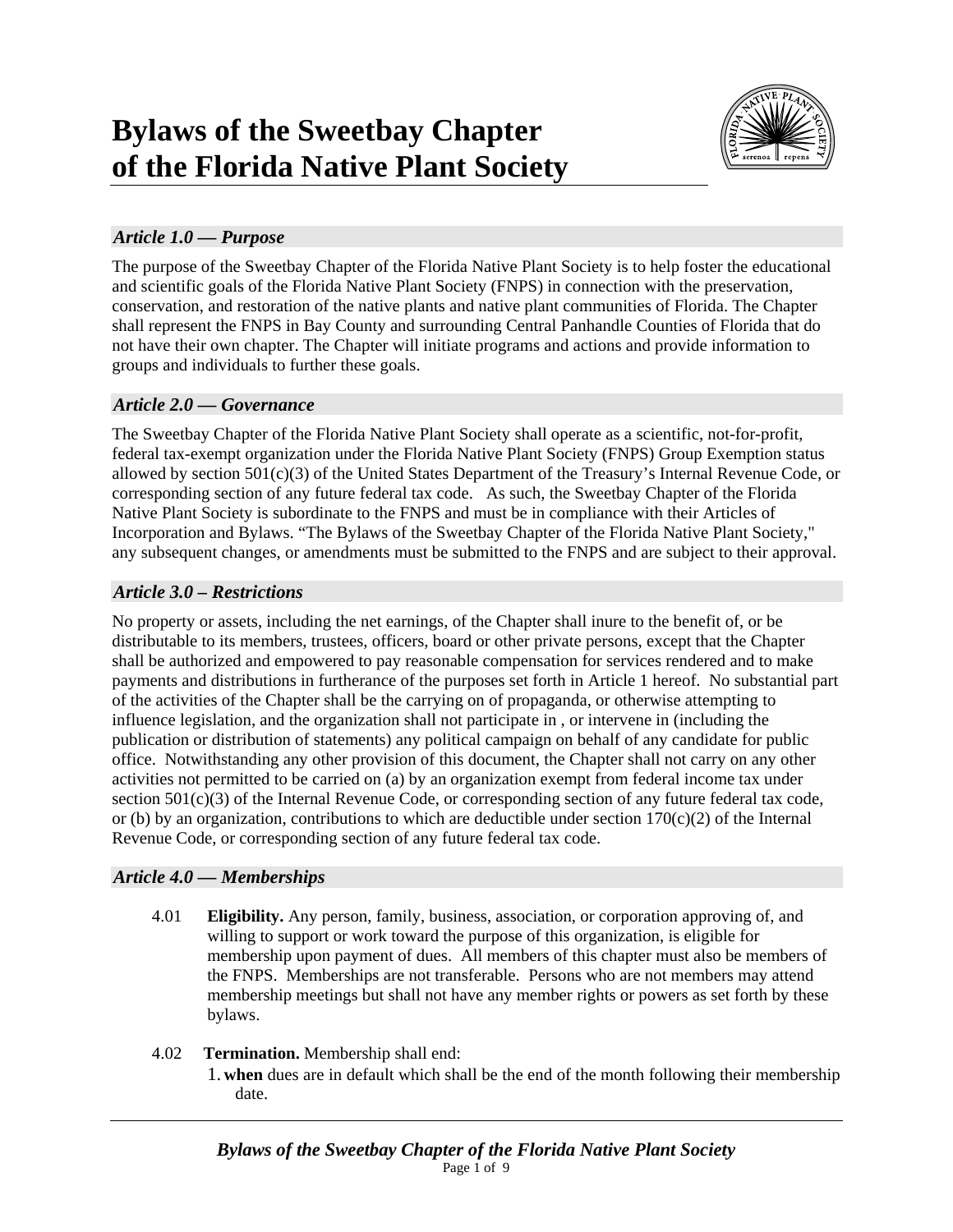

# *Article 1.0 — Purpose*

The purpose of the Sweetbay Chapter of the Florida Native Plant Society is to help foster the educational and scientific goals of the Florida Native Plant Society (FNPS) in connection with the preservation, conservation, and restoration of the native plants and native plant communities of Florida. The Chapter shall represent the FNPS in Bay County and surrounding Central Panhandle Counties of Florida that do not have their own chapter. The Chapter will initiate programs and actions and provide information to groups and individuals to further these goals.

## *Article 2.0 — Governance*

The Sweetbay Chapter of the Florida Native Plant Society shall operate as a scientific, not-for-profit, federal tax-exempt organization under the Florida Native Plant Society (FNPS) Group Exemption status allowed by section 501(c)(3) of the United States Department of the Treasury's Internal Revenue Code, or corresponding section of any future federal tax code. As such, the Sweetbay Chapter of the Florida Native Plant Society is subordinate to the FNPS and must be in compliance with their Articles of Incorporation and Bylaws. "The Bylaws of the Sweetbay Chapter of the Florida Native Plant Society," any subsequent changes, or amendments must be submitted to the FNPS and are subject to their approval.

## *Article 3.0 – Restrictions*

No property or assets, including the net earnings, of the Chapter shall inure to the benefit of, or be distributable to its members, trustees, officers, board or other private persons, except that the Chapter shall be authorized and empowered to pay reasonable compensation for services rendered and to make payments and distributions in furtherance of the purposes set forth in Article 1 hereof. No substantial part of the activities of the Chapter shall be the carrying on of propaganda, or otherwise attempting to influence legislation, and the organization shall not participate in , or intervene in (including the publication or distribution of statements) any political campaign on behalf of any candidate for public office. Notwithstanding any other provision of this document, the Chapter shall not carry on any other activities not permitted to be carried on (a) by an organization exempt from federal income tax under section  $501(c)(3)$  of the Internal Revenue Code, or corresponding section of any future federal tax code, or (b) by an organization, contributions to which are deductible under section  $170(c)(2)$  of the Internal Revenue Code, or corresponding section of any future federal tax code.

## *Article 4.0 — Memberships*

4.01 **Eligibility.** Any person, family, business, association, or corporation approving of, and willing to support or work toward the purpose of this organization, is eligible for membership upon payment of dues. All members of this chapter must also be members of the FNPS. Memberships are not transferable. Persons who are not members may attend membership meetings but shall not have any member rights or powers as set forth by these bylaws.

## 4.02 **Termination.** Membership shall end:

1. **when** dues are in default which shall be the end of the month following their membership date.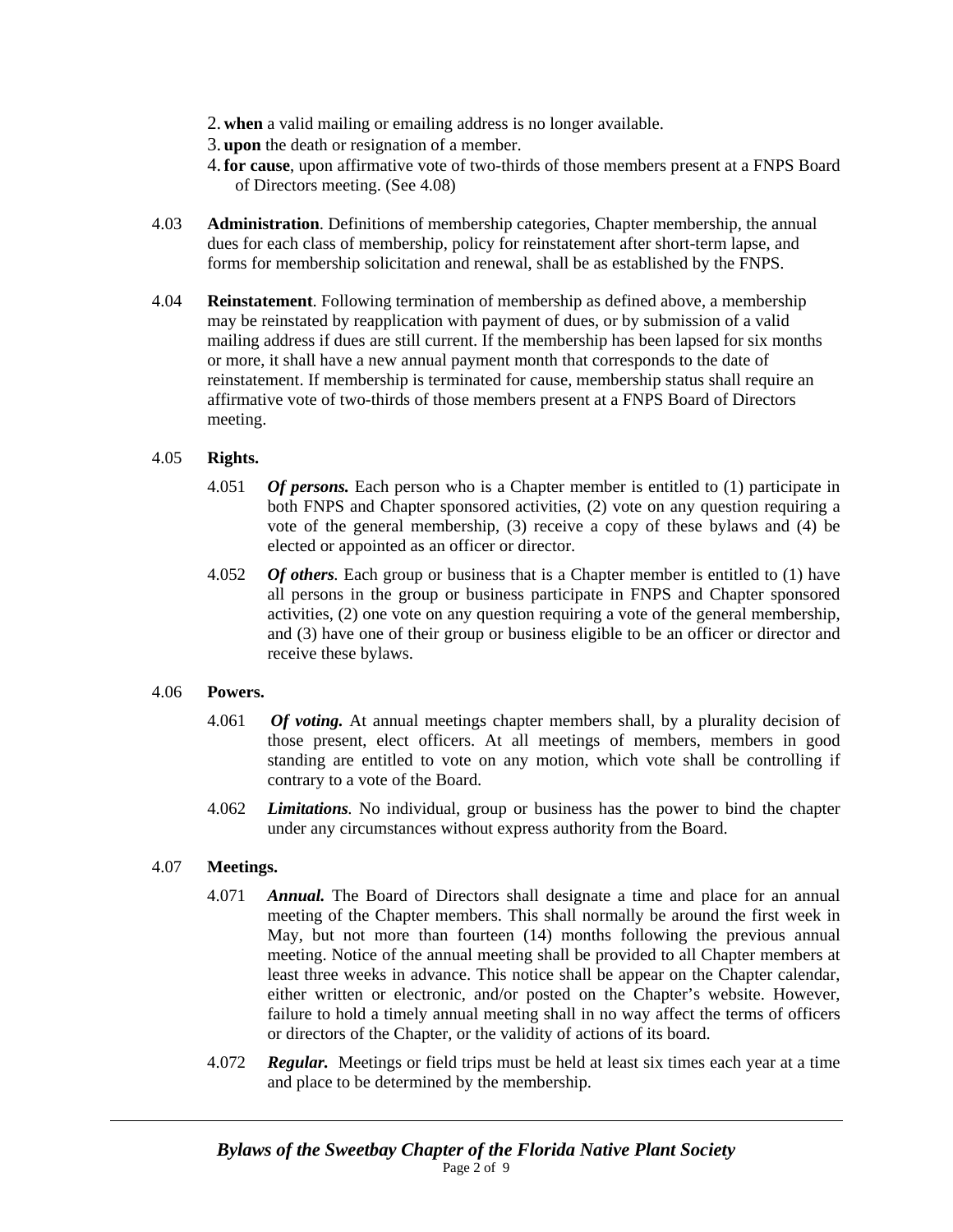- 2. **when** a valid mailing or emailing address is no longer available.
- 3. **upon** the death or resignation of a member.
- 4.**for cause**, upon affirmative vote of two-thirds of those members present at a FNPS Board of Directors meeting. (See 4.08)
- 4.03 **Administration**. Definitions of membership categories, Chapter membership, the annual dues for each class of membership, policy for reinstatement after short-term lapse, and forms for membership solicitation and renewal, shall be as established by the FNPS.
- 4.04 **Reinstatement**. Following termination of membership as defined above, a membership may be reinstated by reapplication with payment of dues, or by submission of a valid mailing address if dues are still current. If the membership has been lapsed for six months or more, it shall have a new annual payment month that corresponds to the date of reinstatement. If membership is terminated for cause, membership status shall require an affirmative vote of two-thirds of those members present at a FNPS Board of Directors meeting.

### 4.05 **Rights.**

- 4.051 *Of persons.* Each person who is a Chapter member is entitled to (1) participate in both FNPS and Chapter sponsored activities, (2) vote on any question requiring a vote of the general membership, (3) receive a copy of these bylaws and (4) be elected or appointed as an officer or director.
- 4.052 *Of others.* Each group or business that is a Chapter member is entitled to (1) have all persons in the group or business participate in FNPS and Chapter sponsored activities, (2) one vote on any question requiring a vote of the general membership, and (3) have one of their group or business eligible to be an officer or director and receive these bylaws.

#### 4.06 **Powers.**

- 4.061 *Of voting.* At annual meetings chapter members shall, by a plurality decision of those present, elect officers. At all meetings of members, members in good standing are entitled to vote on any motion, which vote shall be controlling if contrary to a vote of the Board.
- 4.062 *Limitations.* No individual, group or business has the power to bind the chapter under any circumstances without express authority from the Board.

#### 4.07 **Meetings.**

- 4.071 *Annual.* The Board of Directors shall designate a time and place for an annual meeting of the Chapter members. This shall normally be around the first week in May, but not more than fourteen (14) months following the previous annual meeting. Notice of the annual meeting shall be provided to all Chapter members at least three weeks in advance. This notice shall be appear on the Chapter calendar, either written or electronic, and/or posted on the Chapter's website. However, failure to hold a timely annual meeting shall in no way affect the terms of officers or directors of the Chapter, or the validity of actions of its board.
- 4.072 *Regular.* Meetings or field trips must be held at least six times each year at a time and place to be determined by the membership.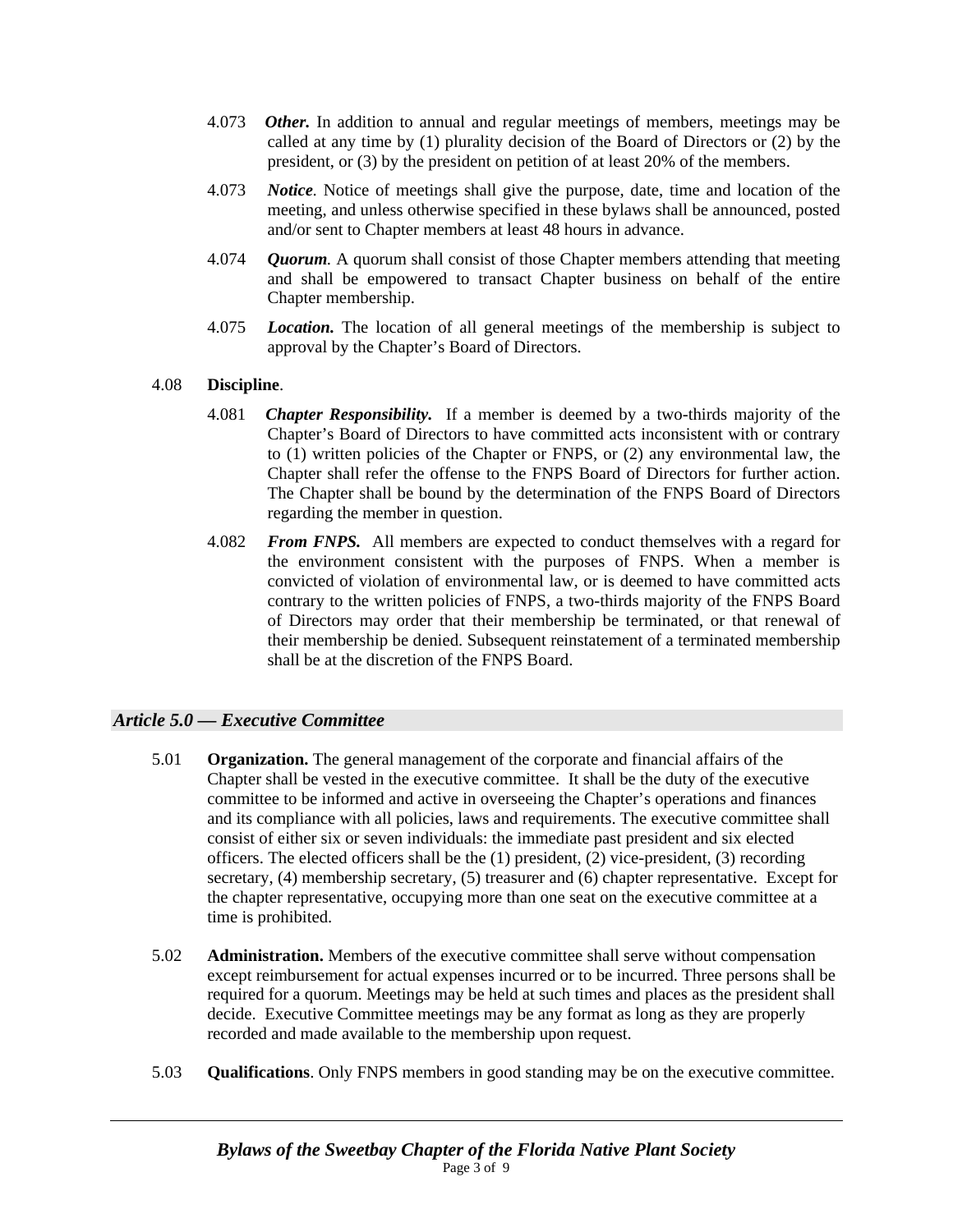- 4.073 *Other.* In addition to annual and regular meetings of members, meetings may be called at any time by (1) plurality decision of the Board of Directors or (2) by the president, or (3) by the president on petition of at least 20% of the members.
- 4.073 *Notice.* Notice of meetings shall give the purpose, date, time and location of the meeting, and unless otherwise specified in these bylaws shall be announced, posted and/or sent to Chapter members at least 48 hours in advance.
- 4.074 *Quorum.* A quorum shall consist of those Chapter members attending that meeting and shall be empowered to transact Chapter business on behalf of the entire Chapter membership.
- 4.075 *Location.* The location of all general meetings of the membership is subject to approval by the Chapter's Board of Directors.

#### 4.08 **Discipline**.

- 4.081 *Chapter Responsibility.* If a member is deemed by a two-thirds majority of the Chapter's Board of Directors to have committed acts inconsistent with or contrary to (1) written policies of the Chapter or FNPS, or (2) any environmental law, the Chapter shall refer the offense to the FNPS Board of Directors for further action. The Chapter shall be bound by the determination of the FNPS Board of Directors regarding the member in question.
- 4.082 *From FNPS.* All members are expected to conduct themselves with a regard for the environment consistent with the purposes of FNPS. When a member is convicted of violation of environmental law, or is deemed to have committed acts contrary to the written policies of FNPS, a two-thirds majority of the FNPS Board of Directors may order that their membership be terminated, or that renewal of their membership be denied. Subsequent reinstatement of a terminated membership shall be at the discretion of the FNPS Board.

## *Article 5.0 — Executive Committee*

- 5.01 **Organization.** The general management of the corporate and financial affairs of the Chapter shall be vested in the executive committee. It shall be the duty of the executive committee to be informed and active in overseeing the Chapter's operations and finances and its compliance with all policies, laws and requirements. The executive committee shall consist of either six or seven individuals: the immediate past president and six elected officers. The elected officers shall be the  $(1)$  president,  $(2)$  vice-president,  $(3)$  recording secretary, (4) membership secretary, (5) treasurer and (6) chapter representative. Except for the chapter representative, occupying more than one seat on the executive committee at a time is prohibited.
- 5.02 **Administration.** Members of the executive committee shall serve without compensation except reimbursement for actual expenses incurred or to be incurred. Three persons shall be required for a quorum. Meetings may be held at such times and places as the president shall decide. Executive Committee meetings may be any format as long as they are properly recorded and made available to the membership upon request.
- 5.03 **Qualifications**. Only FNPS members in good standing may be on the executive committee.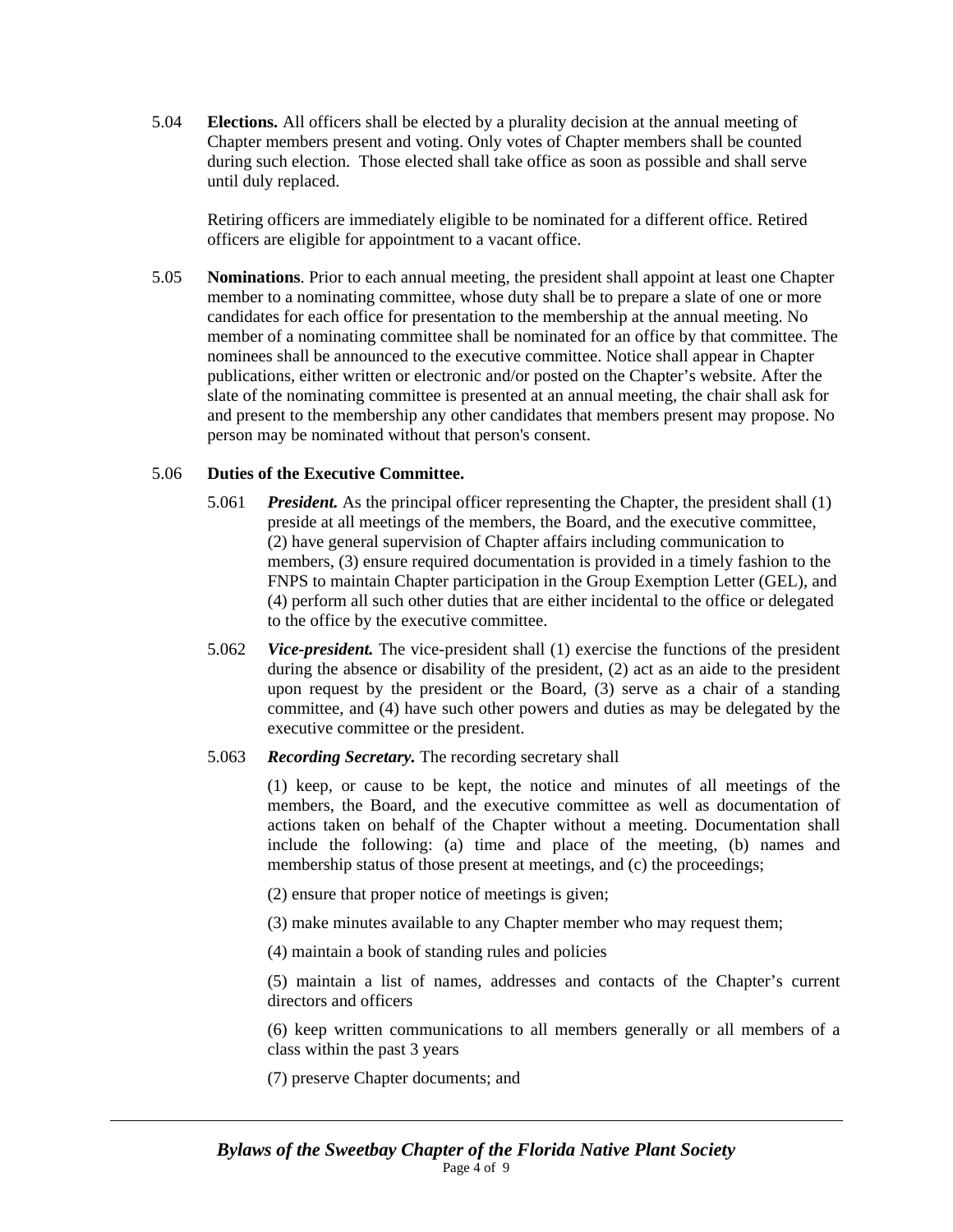5.04 **Elections.** All officers shall be elected by a plurality decision at the annual meeting of Chapter members present and voting. Only votes of Chapter members shall be counted during such election. Those elected shall take office as soon as possible and shall serve until duly replaced.

 Retiring officers are immediately eligible to be nominated for a different office. Retired officers are eligible for appointment to a vacant office.

5.05 **Nominations**. Prior to each annual meeting, the president shall appoint at least one Chapter member to a nominating committee, whose duty shall be to prepare a slate of one or more candidates for each office for presentation to the membership at the annual meeting. No member of a nominating committee shall be nominated for an office by that committee. The nominees shall be announced to the executive committee. Notice shall appear in Chapter publications, either written or electronic and/or posted on the Chapter's website. After the slate of the nominating committee is presented at an annual meeting, the chair shall ask for and present to the membership any other candidates that members present may propose. No person may be nominated without that person's consent.

#### 5.06 **Duties of the Executive Committee.**

- 5.061 *President.* As the principal officer representing the Chapter, the president shall (1) preside at all meetings of the members, the Board, and the executive committee, (2) have general supervision of Chapter affairs including communication to members, (3) ensure required documentation is provided in a timely fashion to the FNPS to maintain Chapter participation in the Group Exemption Letter (GEL), and (4) perform all such other duties that are either incidental to the office or delegated to the office by the executive committee.
- 5.062 *Vice-president.* The vice-president shall (1) exercise the functions of the president during the absence or disability of the president, (2) act as an aide to the president upon request by the president or the Board, (3) serve as a chair of a standing committee, and (4) have such other powers and duties as may be delegated by the executive committee or the president.
- 5.063 *Recording Secretary.* The recording secretary shall

 (1) keep, or cause to be kept, the notice and minutes of all meetings of the members, the Board, and the executive committee as well as documentation of actions taken on behalf of the Chapter without a meeting. Documentation shall include the following: (a) time and place of the meeting, (b) names and membership status of those present at meetings, and (c) the proceedings;

- (2) ensure that proper notice of meetings is given;
- (3) make minutes available to any Chapter member who may request them;
- (4) maintain a book of standing rules and policies

 (5) maintain a list of names, addresses and contacts of the Chapter's current directors and officers

 (6) keep written communications to all members generally or all members of a class within the past 3 years

(7) preserve Chapter documents; and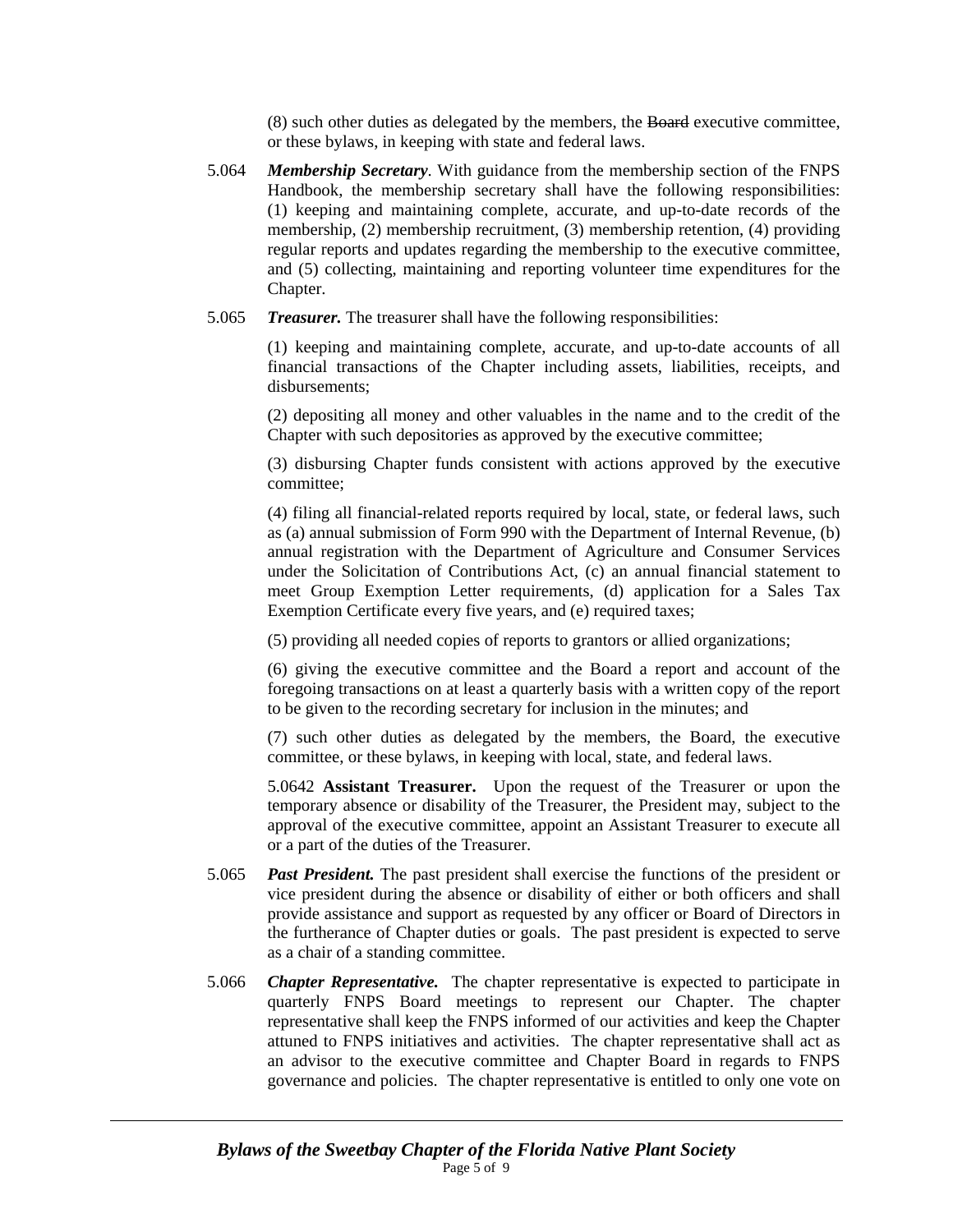(8) such other duties as delegated by the members, the Board executive committee, or these bylaws, in keeping with state and federal laws.

- 5.064 *Membership Secretary*. With guidance from the membership section of the FNPS Handbook, the membership secretary shall have the following responsibilities: (1) keeping and maintaining complete, accurate, and up-to-date records of the membership, (2) membership recruitment, (3) membership retention, (4) providing regular reports and updates regarding the membership to the executive committee, and (5) collecting, maintaining and reporting volunteer time expenditures for the Chapter.
- 5.065*Treasurer.* The treasurer shall have the following responsibilities:

 (1) keeping and maintaining complete, accurate, and up-to-date accounts of all financial transactions of the Chapter including assets, liabilities, receipts, and disbursements;

 (2) depositing all money and other valuables in the name and to the credit of the Chapter with such depositories as approved by the executive committee;

 (3) disbursing Chapter funds consistent with actions approved by the executive committee;

 (4) filing all financial-related reports required by local, state, or federal laws, such as (a) annual submission of Form 990 with the Department of Internal Revenue, (b) annual registration with the Department of Agriculture and Consumer Services under the Solicitation of Contributions Act, (c) an annual financial statement to meet Group Exemption Letter requirements, (d) application for a Sales Tax Exemption Certificate every five years, and (e) required taxes;

(5) providing all needed copies of reports to grantors or allied organizations;

 (6) giving the executive committee and the Board a report and account of the foregoing transactions on at least a quarterly basis with a written copy of the report to be given to the recording secretary for inclusion in the minutes; and

 (7) such other duties as delegated by the members, the Board, the executive committee, or these bylaws, in keeping with local, state, and federal laws.

5.0642 **Assistant Treasurer.** Upon the request of the Treasurer or upon the temporary absence or disability of the Treasurer, the President may, subject to the approval of the executive committee, appoint an Assistant Treasurer to execute all or a part of the duties of the Treasurer.

- 5.065 *Past President.* The past president shall exercise the functions of the president or vice president during the absence or disability of either or both officers and shall provide assistance and support as requested by any officer or Board of Directors in the furtherance of Chapter duties or goals. The past president is expected to serve as a chair of a standing committee.
- 5.066 *Chapter Representative.* The chapter representative is expected to participate in quarterly FNPS Board meetings to represent our Chapter. The chapter representative shall keep the FNPS informed of our activities and keep the Chapter attuned to FNPS initiatives and activities. The chapter representative shall act as an advisor to the executive committee and Chapter Board in regards to FNPS governance and policies. The chapter representative is entitled to only one vote on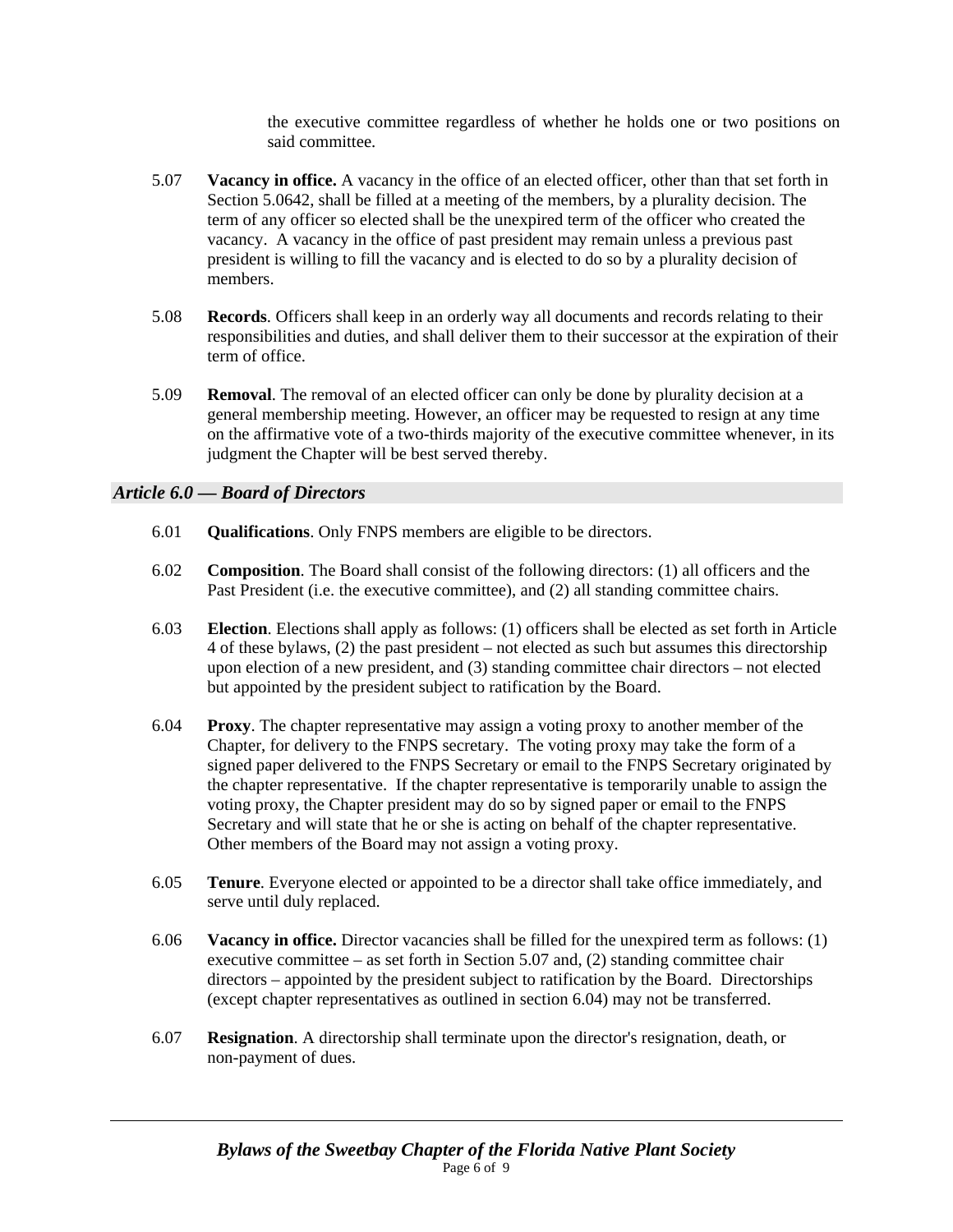the executive committee regardless of whether he holds one or two positions on said committee.

- 5.07 **Vacancy in office.** A vacancy in the office of an elected officer, other than that set forth in Section 5.0642, shall be filled at a meeting of the members, by a plurality decision. The term of any officer so elected shall be the unexpired term of the officer who created the vacancy. A vacancy in the office of past president may remain unless a previous past president is willing to fill the vacancy and is elected to do so by a plurality decision of members.
- 5.08 **Records**. Officers shall keep in an orderly way all documents and records relating to their responsibilities and duties, and shall deliver them to their successor at the expiration of their term of office.
- 5.09 **Removal**. The removal of an elected officer can only be done by plurality decision at a general membership meeting. However, an officer may be requested to resign at any time on the affirmative vote of a two-thirds majority of the executive committee whenever, in its judgment the Chapter will be best served thereby.

### *Article 6.0 — Board of Directors*

- 6.01 **Qualifications**. Only FNPS members are eligible to be directors.
- 6.02 **Composition**. The Board shall consist of the following directors: (1) all officers and the Past President (i.e. the executive committee), and (2) all standing committee chairs.
- 6.03 **Election**. Elections shall apply as follows: (1) officers shall be elected as set forth in Article 4 of these bylaws, (2) the past president – not elected as such but assumes this directorship upon election of a new president, and (3) standing committee chair directors – not elected but appointed by the president subject to ratification by the Board.
- 6.04 **Proxy**. The chapter representative may assign a voting proxy to another member of the Chapter, for delivery to the FNPS secretary. The voting proxy may take the form of a signed paper delivered to the FNPS Secretary or email to the FNPS Secretary originated by the chapter representative. If the chapter representative is temporarily unable to assign the voting proxy, the Chapter president may do so by signed paper or email to the FNPS Secretary and will state that he or she is acting on behalf of the chapter representative. Other members of the Board may not assign a voting proxy.
- 6.05 **Tenure**. Everyone elected or appointed to be a director shall take office immediately, and serve until duly replaced.
- 6.06 **Vacancy in office.** Director vacancies shall be filled for the unexpired term as follows: (1) executive committee – as set forth in Section 5.07 and, (2) standing committee chair directors – appointed by the president subject to ratification by the Board. Directorships (except chapter representatives as outlined in section 6.04) may not be transferred.
- 6.07 **Resignation**. A directorship shall terminate upon the director's resignation, death, or non-payment of dues.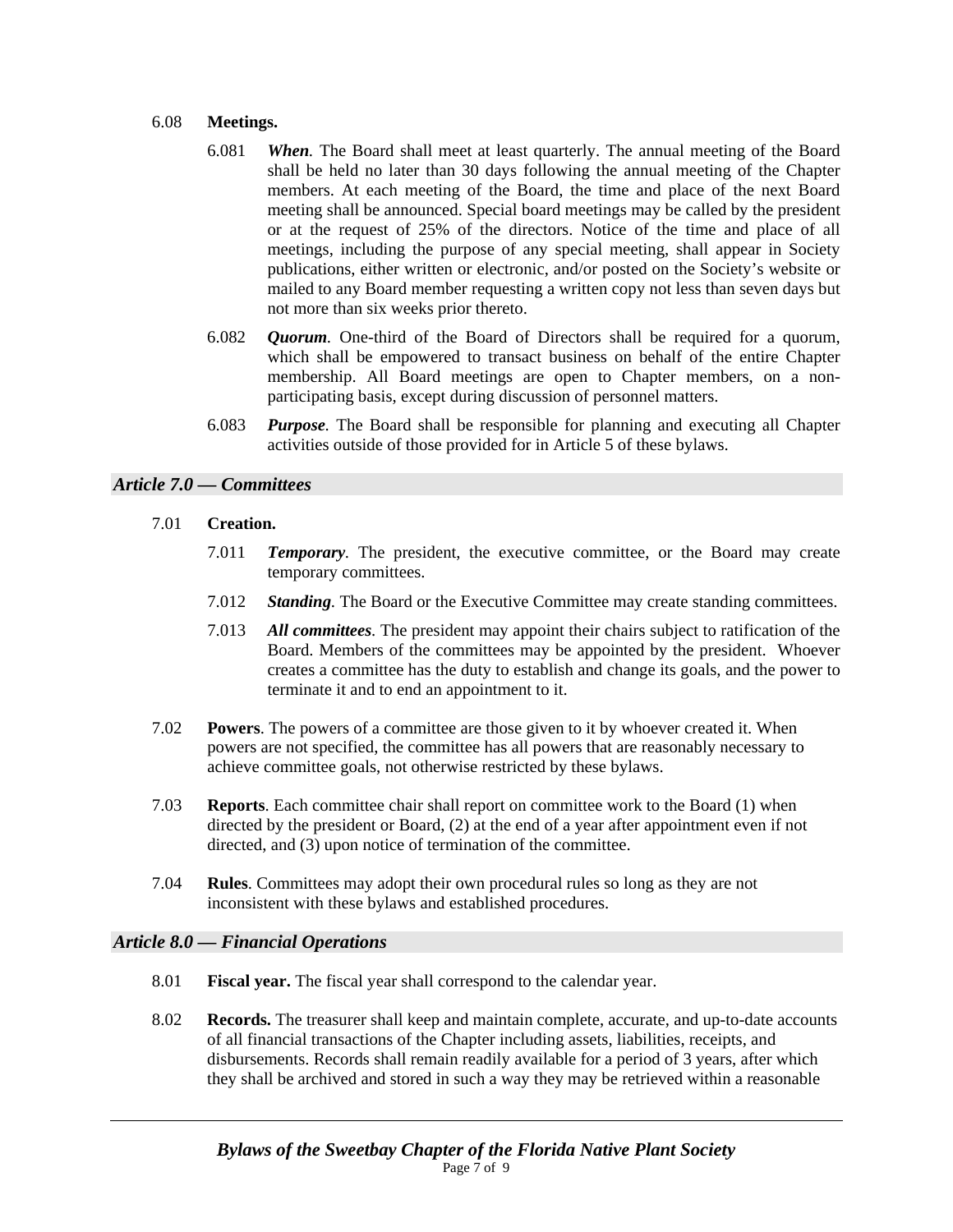### 6.08 **Meetings.**

- 6.081 *When.* The Board shall meet at least quarterly. The annual meeting of the Board shall be held no later than 30 days following the annual meeting of the Chapter members. At each meeting of the Board, the time and place of the next Board meeting shall be announced. Special board meetings may be called by the president or at the request of 25% of the directors. Notice of the time and place of all meetings, including the purpose of any special meeting, shall appear in Society publications, either written or electronic, and/or posted on the Society's website or mailed to any Board member requesting a written copy not less than seven days but not more than six weeks prior thereto.
- 6.082 *Quorum.* One-third of the Board of Directors shall be required for a quorum, which shall be empowered to transact business on behalf of the entire Chapter membership. All Board meetings are open to Chapter members, on a nonparticipating basis, except during discussion of personnel matters.
- 6.083 *Purpose.* The Board shall be responsible for planning and executing all Chapter activities outside of those provided for in Article 5 of these bylaws.

## *Article 7.0 — Committees*

- 7.01 **Creation.**
	- 7.011 *Temporary.* The president, the executive committee, or the Board may create temporary committees.
	- 7.012 *Standing.* The Board or the Executive Committee may create standing committees.
	- 7.013 *All committees.* The president may appoint their chairs subject to ratification of the Board. Members of the committees may be appointed by the president. Whoever creates a committee has the duty to establish and change its goals, and the power to terminate it and to end an appointment to it.
- 7.02 **Powers**. The powers of a committee are those given to it by whoever created it. When powers are not specified, the committee has all powers that are reasonably necessary to achieve committee goals, not otherwise restricted by these bylaws.
- 7.03 **Reports**. Each committee chair shall report on committee work to the Board (1) when directed by the president or Board, (2) at the end of a year after appointment even if not directed, and (3) upon notice of termination of the committee.
- 7.04 **Rules**. Committees may adopt their own procedural rules so long as they are not inconsistent with these bylaws and established procedures.

## *Article 8.0 — Financial Operations*

- 8.01 **Fiscal year.** The fiscal year shall correspond to the calendar year.
- 8.02 **Records.** The treasurer shall keep and maintain complete, accurate, and up-to-date accounts of all financial transactions of the Chapter including assets, liabilities, receipts, and disbursements. Records shall remain readily available for a period of 3 years, after which they shall be archived and stored in such a way they may be retrieved within a reasonable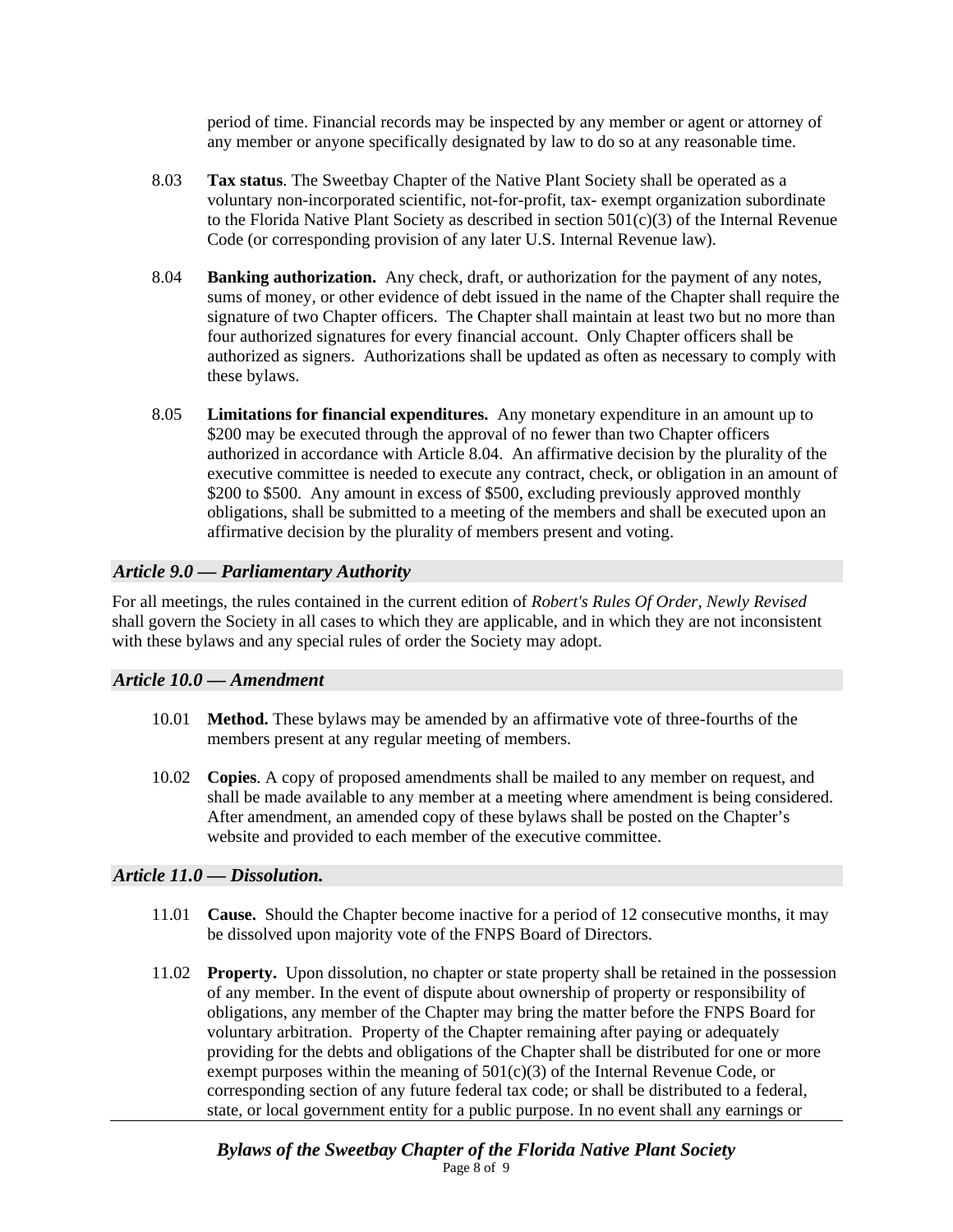period of time. Financial records may be inspected by any member or agent or attorney of any member or anyone specifically designated by law to do so at any reasonable time.

- 8.03 **Tax status**. The Sweetbay Chapter of the Native Plant Society shall be operated as a voluntary non-incorporated scientific, not-for-profit, tax- exempt organization subordinate to the Florida Native Plant Society as described in section  $501(c)(3)$  of the Internal Revenue Code (or corresponding provision of any later U.S. Internal Revenue law).
- 8.04 **Banking authorization.** Any check, draft, or authorization for the payment of any notes, sums of money, or other evidence of debt issued in the name of the Chapter shall require the signature of two Chapter officers. The Chapter shall maintain at least two but no more than four authorized signatures for every financial account. Only Chapter officers shall be authorized as signers. Authorizations shall be updated as often as necessary to comply with these bylaws.
- 8.05 **Limitations for financial expenditures.** Any monetary expenditure in an amount up to \$200 may be executed through the approval of no fewer than two Chapter officers authorized in accordance with Article 8.04. An affirmative decision by the plurality of the executive committee is needed to execute any contract, check, or obligation in an amount of \$200 to \$500. Any amount in excess of \$500, excluding previously approved monthly obligations, shall be submitted to a meeting of the members and shall be executed upon an affirmative decision by the plurality of members present and voting.

### *Article 9.0 — Parliamentary Authority*

For all meetings, the rules contained in the current edition of *Robert's Rules Of Order, Newly Revised* shall govern the Society in all cases to which they are applicable, and in which they are not inconsistent with these bylaws and any special rules of order the Society may adopt.

#### *Article 10.0 — Amendment*

- 10.01 **Method.** These bylaws may be amended by an affirmative vote of three-fourths of the members present at any regular meeting of members.
- 10.02 **Copies**. A copy of proposed amendments shall be mailed to any member on request, and shall be made available to any member at a meeting where amendment is being considered. After amendment, an amended copy of these bylaws shall be posted on the Chapter's website and provided to each member of the executive committee.

#### *Article 11.0 — Dissolution.*

- 11.01 **Cause.** Should the Chapter become inactive for a period of 12 consecutive months, it may be dissolved upon majority vote of the FNPS Board of Directors.
- 11.02 **Property.** Upon dissolution, no chapter or state property shall be retained in the possession of any member. In the event of dispute about ownership of property or responsibility of obligations, any member of the Chapter may bring the matter before the FNPS Board for voluntary arbitration. Property of the Chapter remaining after paying or adequately providing for the debts and obligations of the Chapter shall be distributed for one or more exempt purposes within the meaning of  $501(c)(3)$  of the Internal Revenue Code, or corresponding section of any future federal tax code; or shall be distributed to a federal, state, or local government entity for a public purpose. In no event shall any earnings or